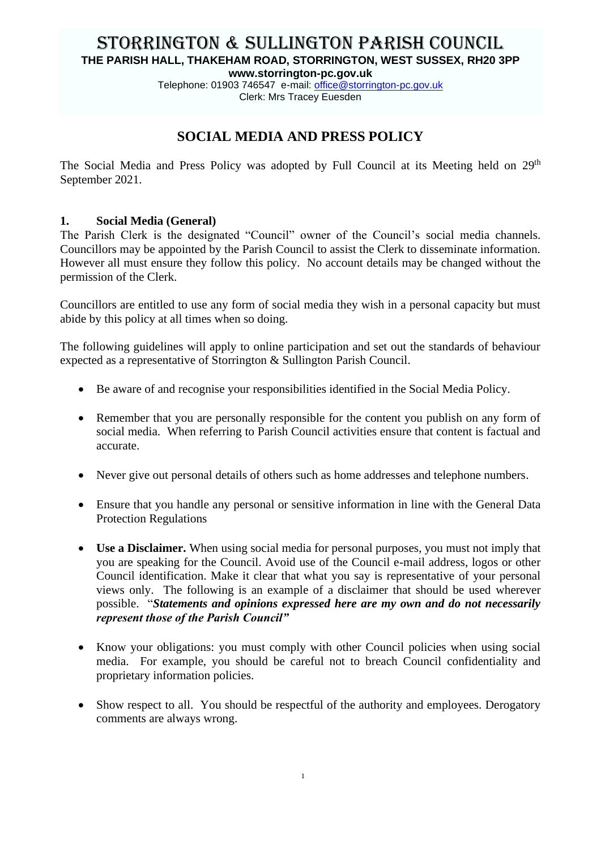# STORRINGTON & SULLINGTON PARISH COUNCIL **THE PARISH HALL, THAKEHAM ROAD, STORRINGTON, WEST SUSSEX, RH20 3PP**

**www.storrington-pc.gov.uk**

Telephone: 01903 746547 e-mail: [office@](mailto:office)storrington-pc.gov.uk Clerk: Mrs Tracey Euesden

# **SOCIAL MEDIA AND PRESS POLICY**

The Social Media and Press Policy was adopted by Full Council at its Meeting held on 29<sup>th</sup> September 2021.

#### **1. Social Media (General)**

The Parish Clerk is the designated "Council" owner of the Council's social media channels. Councillors may be appointed by the Parish Council to assist the Clerk to disseminate information. However all must ensure they follow this policy. No account details may be changed without the permission of the Clerk.

Councillors are entitled to use any form of social media they wish in a personal capacity but must abide by this policy at all times when so doing.

The following guidelines will apply to online participation and set out the standards of behaviour expected as a representative of Storrington & Sullington Parish Council.

- Be aware of and recognise your responsibilities identified in the Social Media Policy.
- Remember that you are personally responsible for the content you publish on any form of social media. When referring to Parish Council activities ensure that content is factual and accurate.
- Never give out personal details of others such as home addresses and telephone numbers.
- Ensure that you handle any personal or sensitive information in line with the General Data Protection Regulations
- **Use a Disclaimer.** When using social media for personal purposes, you must not imply that you are speaking for the Council. Avoid use of the Council e-mail address, logos or other Council identification. Make it clear that what you say is representative of your personal views only. The following is an example of a disclaimer that should be used wherever possible. "*Statements and opinions expressed here are my own and do not necessarily represent those of the Parish Council"*
- Know your obligations: you must comply with other Council policies when using social media. For example, you should be careful not to breach Council confidentiality and proprietary information policies.
- Show respect to all. You should be respectful of the authority and employees. Derogatory comments are always wrong.